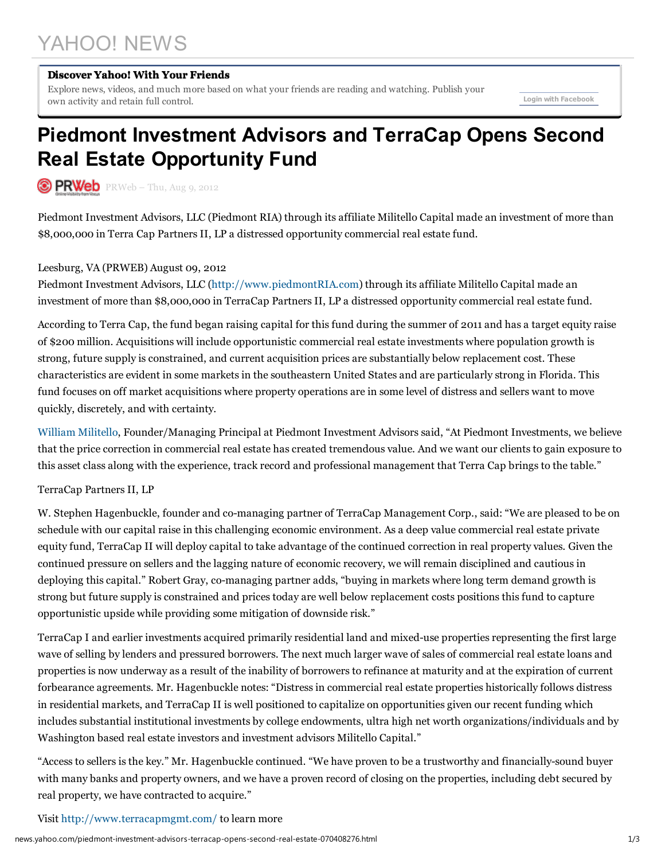# YAHOO! NEWS

#### Discover Yahoo! With Your Friends

Explore news, videos, and much more based on what your friends are reading and watching. Publish your own activity and retain full control. Login with Facebook

## Piedmont Investment Advisors and TerraCap Opens Second Real Estate Opportunity Fund

 $\circledcirc$  PRWeb –  $P$ RWeb – Thu, Aug 9, 2012

Piedmont Investment Advisors, LLC (Piedmont RIA) through its affiliate Militello Capital made an investment of more than \$8,000,000 in Terra Cap Partners II, LP a distressed opportunity commercial real estate fund.

### Leesburg, VA (PRWEB) August 09, 2012

Piedmont Investment Advisors, LLC (http://www.piedmontRIA.com) through its affiliate Militello Capital made an investment of more than \$8,000,000 in TerraCap Partners II, LP a distressed opportunity commercial real estate fund.

According to Terra Cap, the fund began raising capital for this fund during the summer of 2011 and has a target equity raise of \$200 million. Acquisitions will include opportunistic commercial real estate investments where population growth is strong, future supply is constrained, and current acquisition prices are substantially below replacement cost. These characteristics are evident in some markets in the southeastern United States and are particularly strong in Florida. This fund focuses on off market acquisitions where property operations are in some level of distress and sellers want to move quickly, discretely, and with certainty.

William Militello, Founder/Managing Principal at Piedmont Investment Advisors said, "At Piedmont Investments, we believe that the price correction in commercial real estate has created tremendous value. And we want our clients to gain exposure to this asset class along with the experience, track record and professional management that Terra Cap brings to the table."

#### TerraCap Partners II, LP

W. Stephen Hagenbuckle, founder and co-managing partner of TerraCap Management Corp., said: "We are pleased to be on schedule with our capital raise in this challenging economic environment. As a deep value commercial real estate private equity fund, TerraCap II will deploy capital to take advantage of the continued correction in real property values. Given the continued pressure on sellers and the lagging nature of economic recovery, we will remain disciplined and cautious in deploying this capital." Robert Gray, co-managing partner adds, "buying in markets where long term demand growth is strong but future supply is constrained and prices today are well below replacement costs positions this fund to capture opportunistic upside while providing some mitigation of downside risk."

TerraCap I and earlier investments acquired primarily residential land and mixed-use properties representing the first large wave of selling by lenders and pressured borrowers. The next much larger wave of sales of commercial real estate loans and properties is now underway as a result of the inability of borrowers to refinance at maturity and at the expiration of current forbearance agreements. Mr. Hagenbuckle notes: "Distress in commercial real estate properties historically follows distress in residential markets, and TerraCap II is well positioned to capitalize on opportunities given our recent funding which includes substantial institutional investments by college endowments, ultra high net worth organizations/individuals and by Washington based real estate investors and investment advisors Militello Capital."

"Access to sellers is the key." Mr. Hagenbuckle continued. "We have proven to be a trustworthy and financially-sound buyer with many banks and property owners, and we have a proven record of closing on the properties, including debt secured by real property, we have contracted to acquire."

#### Visit http://www.terracapmgmt.com/ to learn more